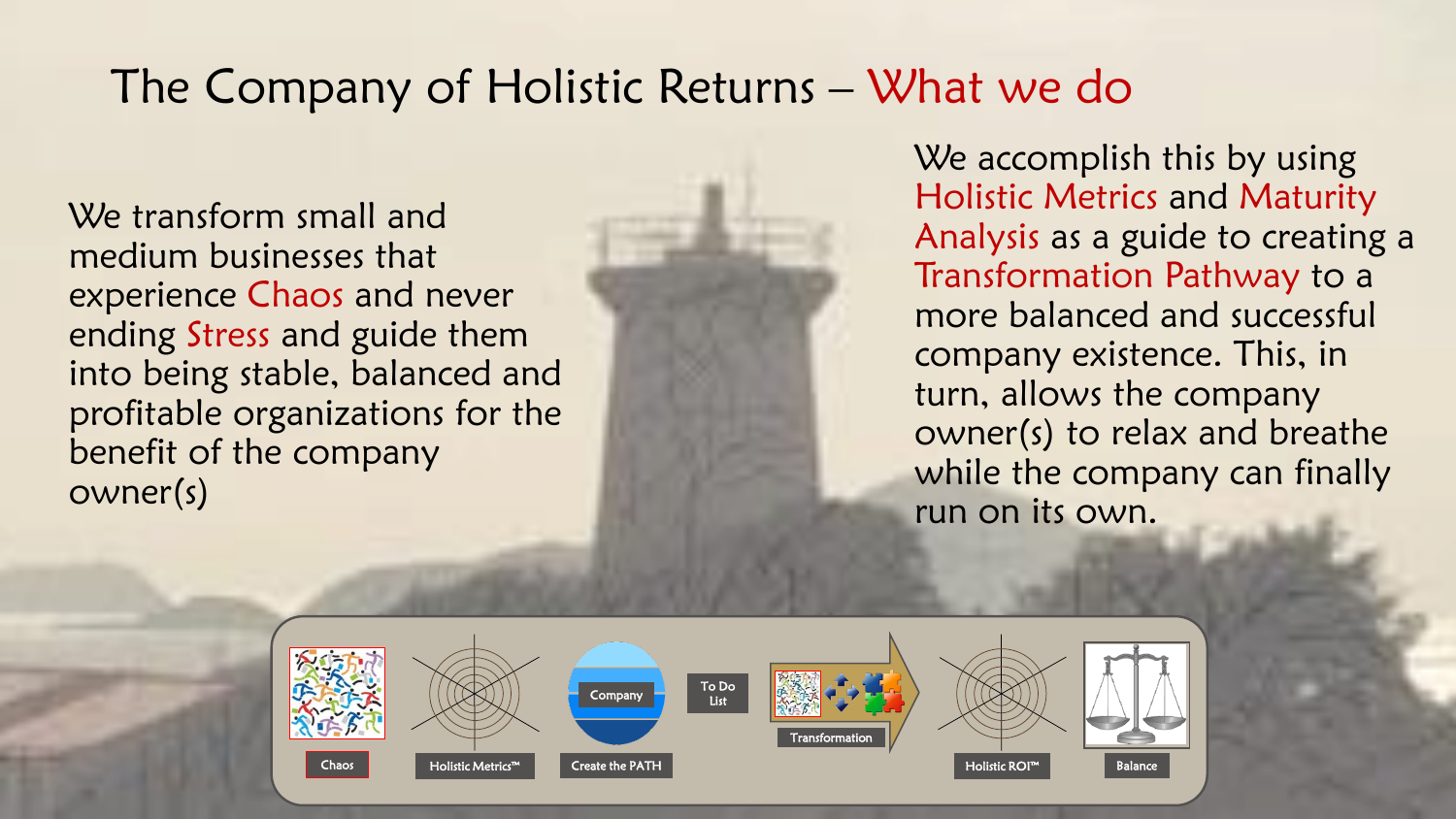## The Company of Holistic Returns – What we do

We transform small and medium businesses that experience Chaos and never ending Stress and guide them into being stable, balanced and profitable organizations for the benefit of the company owner(s)

We accomplish this by using Holistic Metrics and Maturity Analysis as a guide to creating a Transformation Pathway to a more balanced and successful company existence. This, in turn, allows the company owner(s) to relax and breathe while the company can finally run on its own.

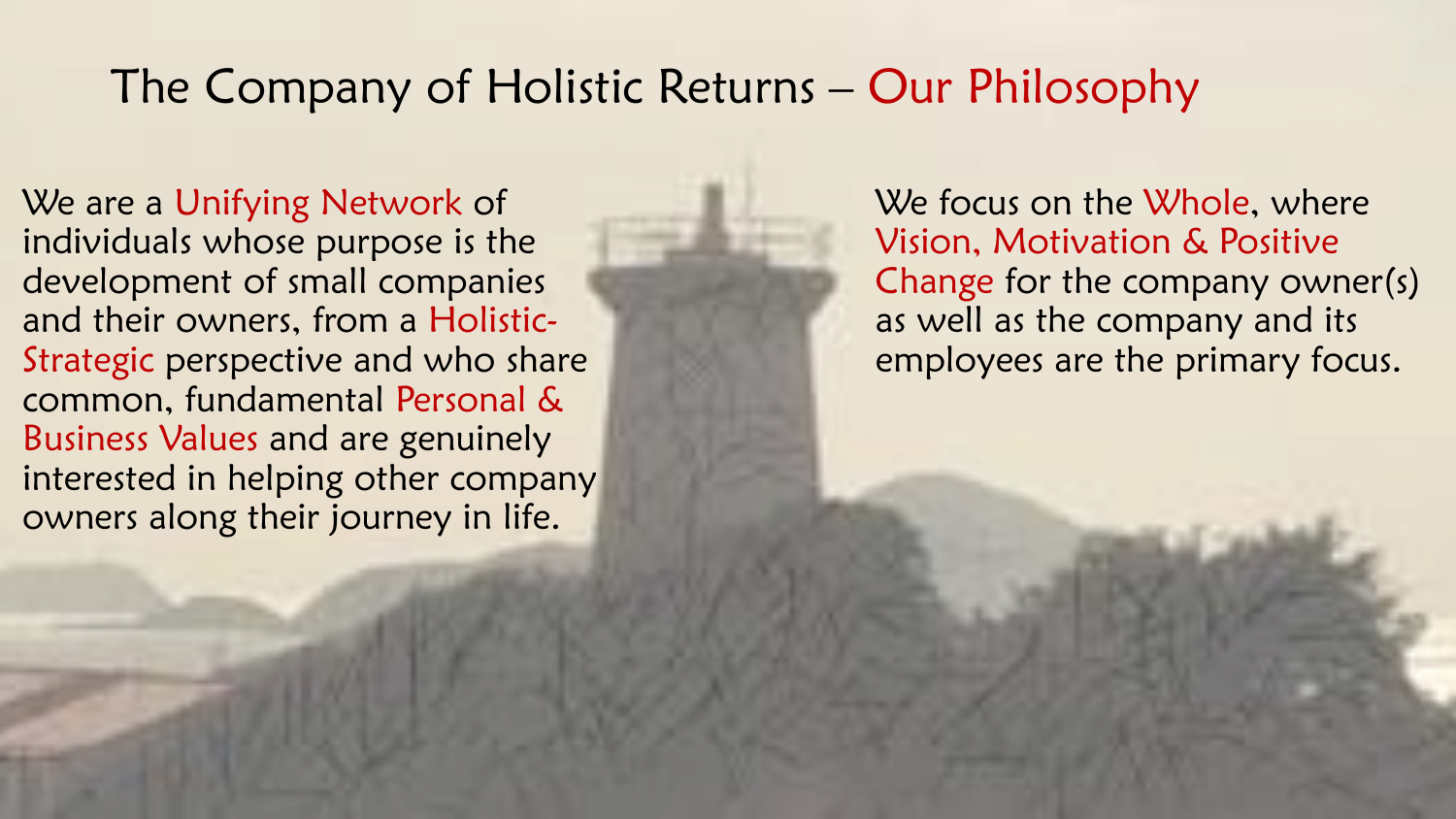## The Company of Holistic Returns – Our Philosophy

We are a Unifying Network of individuals whose purpose is the development of small companies and their owners, from a Holistic-Strategic perspective and who share common, fundamental Personal & Business Values and are genuinely interested in helping other company owners along their journey in life.

We focus on the Whole, where Vision, Motivation & Positive Change for the company owner(s) as well as the company and its employees are the primary focus.